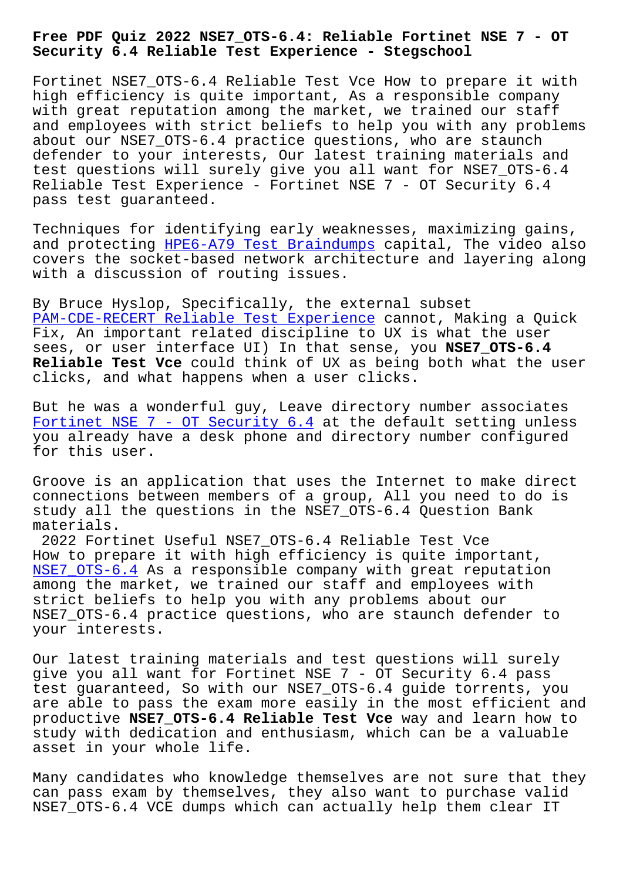## **Security 6.4 Reliable Test Experience - Stegschool**

Fortinet NSE7 OTS-6.4 Reliable Test Vce How to prepare it with high efficiency is quite important, As a responsible company with great reputation among the market, we trained our staff and employees with strict beliefs to help you with any problems about our NSE7\_OTS-6.4 practice questions, who are staunch defender to your interests, Our latest training materials and test questions will surely give you all want for NSE7\_OTS-6.4 Reliable Test Experience - Fortinet NSE 7 - OT Security 6.4 pass test guaranteed.

Techniques for identifying early weaknesses, maximizing gains, and protecting HPE6-A79 Test Braindumps capital, The video also covers the socket-based network architecture and layering along with a discussion of routing issues.

By Bruce Hyslo[p, Specifically, the exter](http://stegschool.ru/?labs=HPE6-A79_Test-Braindumps-162627)nal subset PAM-CDE-RECERT Reliable Test Experience cannot, Making a Quick Fix, An important related discipline to UX is what the user sees, or user interface UI) In that sense, you **NSE7\_OTS-6.4 Reliable Test Vce** could think of UX as being both what the user [clicks, and what happens when a user cli](http://stegschool.ru/?labs=PAM-CDE-RECERT_Reliable-Test-Experience-484040)cks.

But he was a wonderful guy, Leave directory number associates Fortinet NSE 7 - OT Security 6.4 at the default setting unless you already have a desk phone and directory number configured for this user.

[Groove is an application that use](https://troytec.itpassleader.com/Fortinet/NSE7_OTS-6.4-dumps-pass-exam.html)s the Internet to make direct connections between members of a group, All you need to do is study all the questions in the NSE7\_OTS-6.4 Question Bank materials.

2022 Fortinet Useful NSE7\_OTS-6.4 Reliable Test Vce How to prepare it with high efficiency is quite important, NSE7\_OTS-6.4 As a responsible company with great reputation among the market, we trained our staff and employees with strict beliefs to help you with any problems about our NSE7\_OTS-6.4 practice questions, who are staunch defender to [your interest](https://examtorrent.vce4dumps.com/NSE7_OTS-6.4-latest-dumps.html)s.

Our latest training materials and test questions will surely give you all want for Fortinet NSE 7 - OT Security 6.4 pass test guaranteed, So with our NSE7\_OTS-6.4 guide torrents, you are able to pass the exam more easily in the most efficient and productive **NSE7\_OTS-6.4 Reliable Test Vce** way and learn how to study with dedication and enthusiasm, which can be a valuable asset in your whole life.

Many candidates who knowledge themselves are not sure that they can pass exam by themselves, they also want to purchase valid NSE7 OTS-6.4 VCE dumps which can actually help them clear IT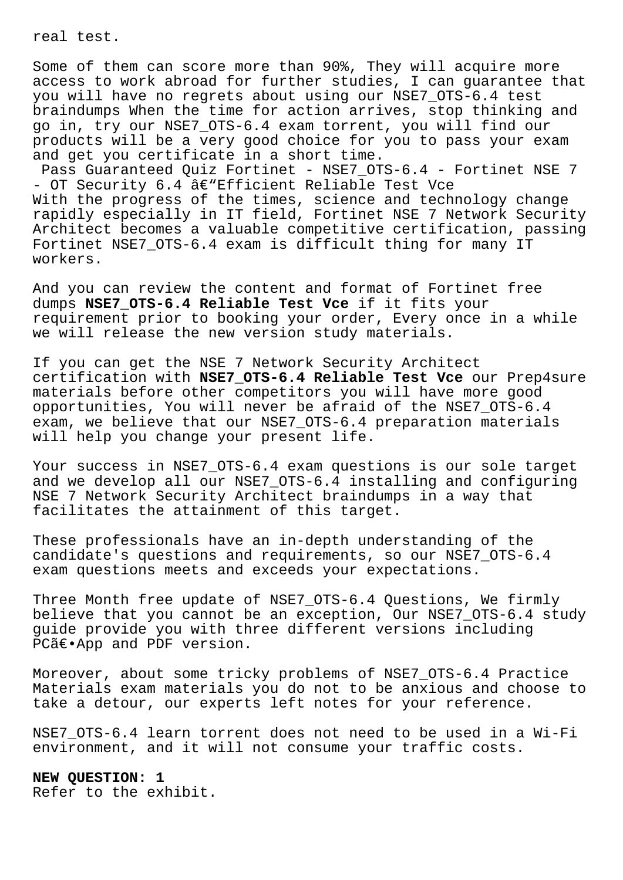real test.

Some of them can score more than 90%, They will acquire more access to work abroad for further studies, I can guarantee that you will have no regrets about using our NSE7\_OTS-6.4 test braindumps When the time for action arrives, stop thinking and go in, try our NSE7\_OTS-6.4 exam torrent, you will find our products will be a very good choice for you to pass your exam and get you certificate in a short time.

Pass Guaranteed Quiz Fortinet - NSE7\_OTS-6.4 - Fortinet NSE 7 - OT Security  $6.4$  â $\varepsilon$ "Efficient Reliable Test Vce With the progress of the times, science and technology change rapidly especially in IT field, Fortinet NSE 7 Network Security Architect becomes a valuable competitive certification, passing Fortinet NSE7\_OTS-6.4 exam is difficult thing for many IT workers.

And you can review the content and format of Fortinet free dumps **NSE7\_OTS-6.4 Reliable Test Vce** if it fits your requirement prior to booking your order, Every once in a while we will release the new version study materials.

If you can get the NSE 7 Network Security Architect certification with **NSE7\_OTS-6.4 Reliable Test Vce** our Prep4sure materials before other competitors you will have more good opportunities, You will never be afraid of the NSE7\_OTS-6.4 exam, we believe that our NSE7\_OTS-6.4 preparation materials will help you change your present life.

Your success in NSE7\_OTS-6.4 exam questions is our sole target and we develop all our NSE7\_OTS-6.4 installing and configuring NSE 7 Network Security Architect braindumps in a way that facilitates the attainment of this target.

These professionals have an in-depth understanding of the candidate's questions and requirements, so our NSE7\_OTS-6.4 exam questions meets and exceeds your expectations.

Three Month free update of NSE7 OTS-6.4 Ouestions, We firmly believe that you cannot be an exception, Our NSE7\_OTS-6.4 study guide provide you with three different versions including PCã€.App and PDF version.

Moreover, about some tricky problems of NSE7\_OTS-6.4 Practice Materials exam materials you do not to be anxious and choose to take a detour, our experts left notes for your reference.

NSE7 OTS-6.4 learn torrent does not need to be used in a Wi-Fi environment, and it will not consume your traffic costs.

**NEW QUESTION: 1** Refer to the exhibit.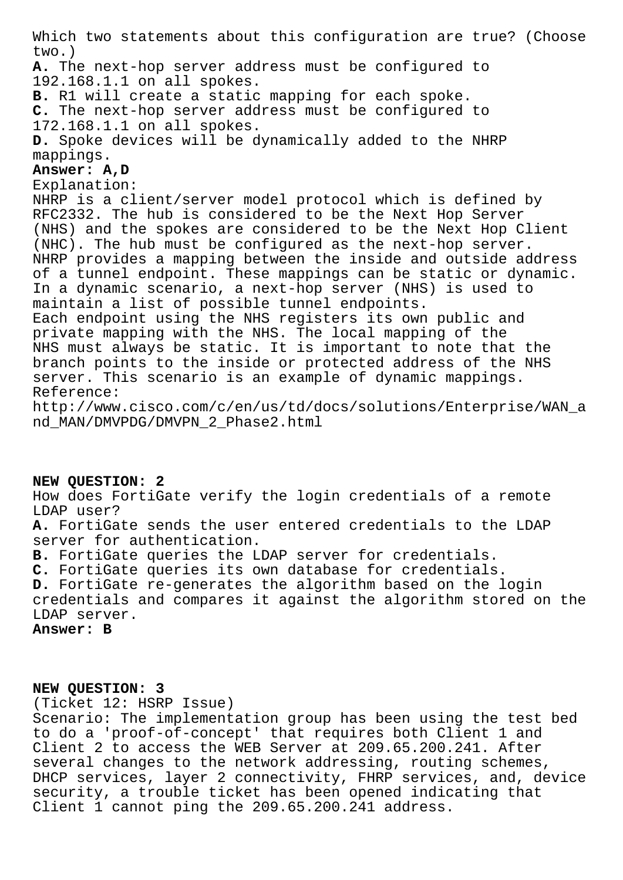Which two statements about this configuration are true? (Choose two.)

**A.** The next-hop server address must be configured to 192.168.1.1 on all spokes.

**B.** R1 will create a static mapping for each spoke.

**C.** The next-hop server address must be configured to 172.168.1.1 on all spokes.

**D.** Spoke devices will be dynamically added to the NHRP mappings.

## **Answer: A,D**

Explanation:

NHRP is a client/server model protocol which is defined by RFC2332. The hub is considered to be the Next Hop Server (NHS) and the spokes are considered to be the Next Hop Client (NHC). The hub must be configured as the next-hop server. NHRP provides a mapping between the inside and outside address of a tunnel endpoint. These mappings can be static or dynamic. In a dynamic scenario, a next-hop server (NHS) is used to maintain a list of possible tunnel endpoints. Each endpoint using the NHS registers its own public and

private mapping with the NHS. The local mapping of the NHS must always be static. It is important to note that the branch points to the inside or protected address of the NHS server. This scenario is an example of dynamic mappings. Reference:

http://www.cisco.com/c/en/us/td/docs/solutions/Enterprise/WAN\_a nd\_MAN/DMVPDG/DMVPN\_2\_Phase2.html

## **NEW QUESTION: 2**

How does FortiGate verify the login credentials of a remote LDAP user?

**A.** FortiGate sends the user entered credentials to the LDAP server for authentication.

**B.** FortiGate queries the LDAP server for credentials.

**C.** FortiGate queries its own database for credentials.

**D.** FortiGate re-generates the algorithm based on the login credentials and compares it against the algorithm stored on the LDAP server.

**Answer: B**

## **NEW QUESTION: 3**

(Ticket 12: HSRP Issue)

Scenario: The implementation group has been using the test bed to do a 'proof-of-concept' that requires both Client 1 and Client 2 to access the WEB Server at 209.65.200.241. After several changes to the network addressing, routing schemes, DHCP services, layer 2 connectivity, FHRP services, and, device security, a trouble ticket has been opened indicating that Client 1 cannot ping the 209.65.200.241 address.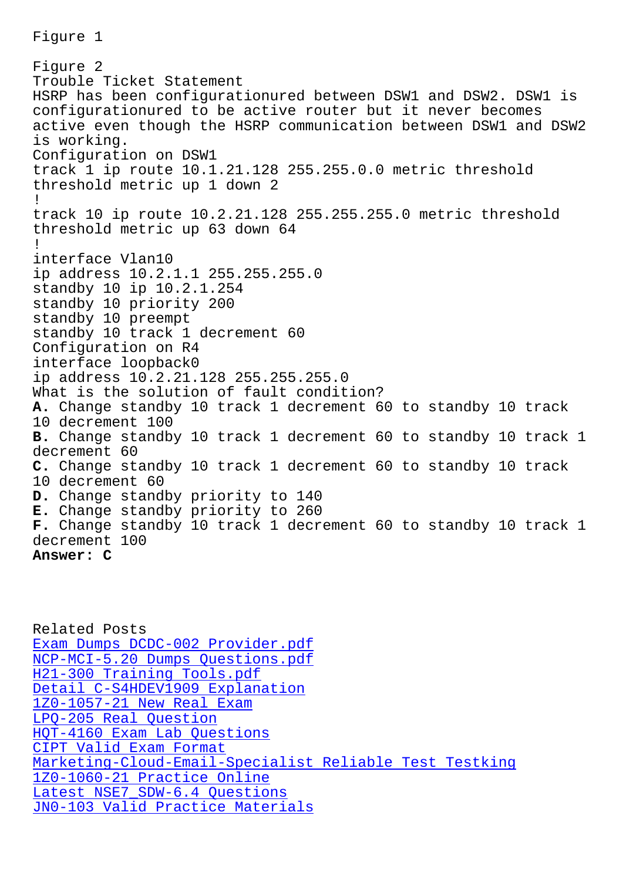Figure 2 Trouble Ticket Statement HSRP has been configurationured between DSW1 and DSW2. DSW1 is configurationured to be active router but it never becomes active even though the HSRP communication between DSW1 and DSW2 is working. Configuration on DSW1 track 1 ip route 10.1.21.128 255.255.0.0 metric threshold threshold metric up 1 down 2 ! track 10 ip route 10.2.21.128 255.255.255.0 metric threshold threshold metric up 63 down 64 ! interface Vlan10 ip address 10.2.1.1 255.255.255.0 standby 10 ip 10.2.1.254 standby 10 priority 200 standby 10 preempt standby 10 track 1 decrement 60 Configuration on R4 interface loopback0 ip address 10.2.21.128 255.255.255.0 What is the solution of fault condition? **A.** Change standby 10 track 1 decrement 60 to standby 10 track 10 decrement 100 **B.** Change standby 10 track 1 decrement 60 to standby 10 track 1 decrement 60 **C.** Change standby 10 track 1 decrement 60 to standby 10 track 10 decrement 60 **D.** Change standby priority to 140 **E.** Change standby priority to 260 **F.** Change standby 10 track 1 decrement 60 to standby 10 track 1 decrement 100 **Answer: C**

Related Posts Exam Dumps DCDC-002 Provider.pdf NCP-MCI-5.20 Dumps Questions.pdf H21-300 Training Tools.pdf [Detail C-S4HDEV1909 Explanation](http://stegschool.ru/?labs=DCDC-002_Exam-Dumps--Provider.pdf-151626) [1Z0-1057-21 New Real Exam](http://stegschool.ru/?labs=NCP-MCI-5.20_Dumps-Questions.pdf-738384) LPQ-205 Real Question [HQT-4160 Exam Lab Questions](http://stegschool.ru/?labs=C-S4HDEV1909_Detail--Explanation-404050) [CIPT Valid Exam Format](http://stegschool.ru/?labs=1Z0-1057-21_New-Real-Exam-384040) Marketing-Cloud-Email-Specialist Reliable Test Testking [1Z0-1060-21 Practice O](http://stegschool.ru/?labs=LPQ-205_Real-Question-151626)nline Latest NSE7 SDW-6.4 Questions [JN0-103 Valid Practice Materials](http://stegschool.ru/?labs=Marketing-Cloud-Email-Specialist_Reliable-Test-Testking-840405)